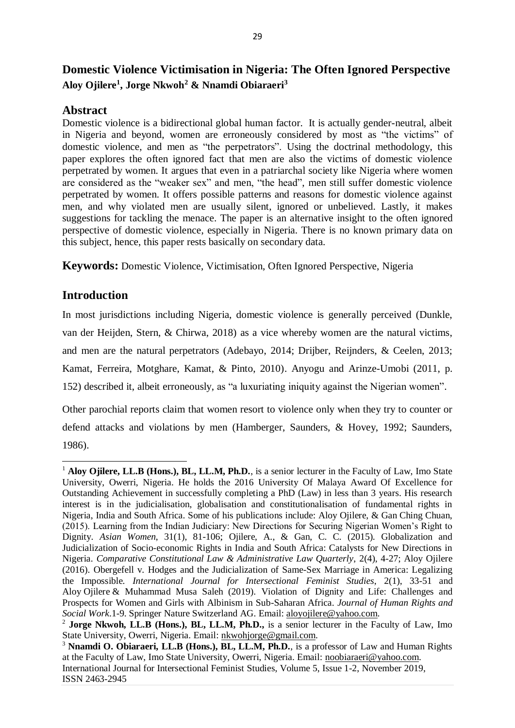# **Domestic Violence Victimisation in Nigeria: The Often Ignored Perspective Aloy Ojilere<sup>1</sup> , Jorge Nkwoh<sup>2</sup> & Nnamdi Obiaraeri<sup>3</sup>**

### **Abstract**

Domestic violence is a bidirectional global human factor. It is actually gender-neutral, albeit in Nigeria and beyond, women are erroneously considered by most as "the victims" of domestic violence, and men as "the perpetrators". Using the doctrinal methodology, this paper explores the often ignored fact that men are also the victims of domestic violence perpetrated by women. It argues that even in a patriarchal society like Nigeria where women are considered as the "weaker sex" and men, "the head", men still suffer domestic violence perpetrated by women. It offers possible patterns and reasons for domestic violence against men, and why violated men are usually silent, ignored or unbelieved. Lastly, it makes suggestions for tackling the menace. The paper is an alternative insight to the often ignored perspective of domestic violence, especially in Nigeria. There is no known primary data on this subject, hence, this paper rests basically on secondary data.

**Keywords:** Domestic Violence, Victimisation, Often Ignored Perspective, Nigeria

# **Introduction**

**.** 

In most jurisdictions including Nigeria, domestic violence is generally perceived (Dunkle, van der Heijden, Stern, & Chirwa, 2018) as a vice whereby women are the natural victims, and men are the natural perpetrators (Adebayo, 2014; Drijber, Reijnders, & Ceelen, 2013; Kamat, Ferreira, Motghare, Kamat, & Pinto, 2010). Anyogu and Arinze-Umobi (2011, p. 152) described it, albeit erroneously, as "a luxuriating iniquity against the Nigerian women".

Other parochial reports claim that women resort to violence only when they try to counter or defend attacks and violations by men (Hamberger, Saunders, & Hovey, 1992; Saunders, 1986).

<sup>&</sup>lt;sup>1</sup> Aloy Ojilere, LL.B (Hons.), BL, LL.M, Ph.D., is a senior lecturer in the Faculty of Law, Imo State University, Owerri, Nigeria. He holds the 2016 University Of Malaya Award Of Excellence for Outstanding Achievement in successfully completing a PhD (Law) in less than 3 years. His research interest is in the judicialisation, globalisation and constitutionalisation of fundamental rights in Nigeria, India and South Africa. Some of his publications include: Aloy Ojilere, & Gan Ching Chuan, (2015). Learning from the Indian Judiciary: New Directions for Securing Nigerian Women's Right to Dignity. *Asian Women*, 31(1), 81-106; Ojilere, A., & Gan, C. C. (2015). Globalization and Judicialization of Socio-economic Rights in India and South Africa: Catalysts for New Directions in Nigeria. *Comparative Constitutional Law & Administrative Law Quarterly*, 2(4), 4-27; Aloy Ojilere (2016). Obergefell v. Hodges and the Judicialization of Same-Sex Marriage in America: Legalizing the Impossible. *International Journal for Intersectional Feminist Studies*, 2(1), 33-51 and Aloy Ojilere & Muhammad Musa Saleh (2019). Violation of Dignity and Life: Challenges and Prospects for Women and Girls with Albinism in Sub-Saharan Africa. *Journal of Human Rights and Social Work*.1-9. Springer Nature Switzerland AG. Email: [aloyojilere@yahoo.com.](mailto:aloyojilere@yahoo.com)

<sup>&</sup>lt;sup>2</sup> Jorge Nkwoh, LL.B (Hons.), BL, LL.M, Ph.D., is a senior lecturer in the Faculty of Law, Imo State University, Owerri, Nigeria. Email: [nkwohjorge@gmail.com.](mailto:nkwohjorge@gmail.com) 

International Journal for Intersectional Feminist Studies, Volume 5, Issue 1-2, November 2019, ISSN 2463-2945 <sup>3</sup> **Nnamdi O. Obiaraeri, LL.B (Hons.), BL, LL.M, Ph.D.**, is a professor of Law and Human Rights at the Faculty of Law, Imo State University, Owerri, Nigeria. Email: [noobiaraeri@yahoo.com.](mailto:noobiaraeri@yahoo.com)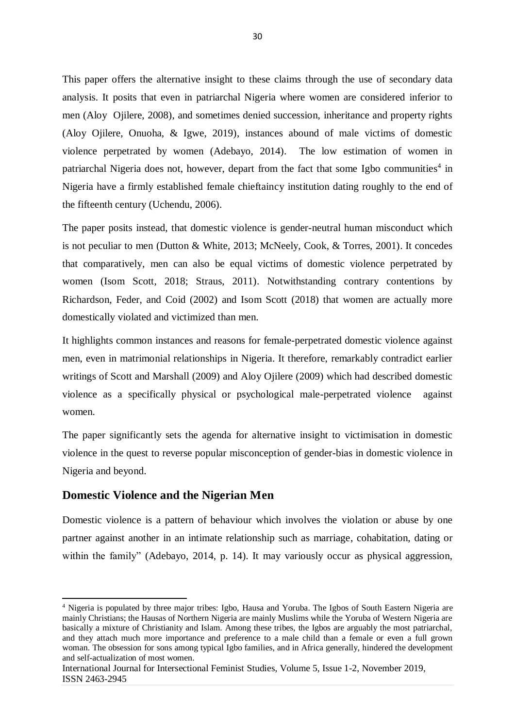This paper offers the alternative insight to these claims through the use of secondary data analysis. It posits that even in patriarchal Nigeria where women are considered inferior to men (Aloy Ojilere, 2008), and sometimes denied succession, inheritance and property rights (Aloy Ojilere, Onuoha, & Igwe, 2019), instances abound of male victims of domestic violence perpetrated by women (Adebayo, 2014). The low estimation of women in patriarchal Nigeria does not, however, depart from the fact that some Igbo communities<sup>4</sup> in Nigeria have a firmly established female chieftaincy institution dating roughly to the end of the fifteenth century (Uchendu, 2006).

The paper posits instead, that domestic violence is gender-neutral human misconduct which is not peculiar to men (Dutton & White, 2013; McNeely, Cook, & Torres, 2001). It concedes that comparatively, men can also be equal victims of domestic violence perpetrated by women (Isom Scott, 2018; Straus, 2011). Notwithstanding contrary contentions by Richardson, Feder, and Coid (2002) and Isom Scott (2018) that women are actually more domestically violated and victimized than men.

It highlights common instances and reasons for female-perpetrated domestic violence against men, even in matrimonial relationships in Nigeria. It therefore, remarkably contradict earlier writings of Scott and Marshall (2009) and Aloy Ojilere (2009) which had described domestic violence as a specifically physical or psychological male-perpetrated violence against women.

The paper significantly sets the agenda for alternative insight to victimisation in domestic violence in the quest to reverse popular misconception of gender-bias in domestic violence in Nigeria and beyond.

# **Domestic Violence and the Nigerian Men**

1

Domestic violence is a pattern of behaviour which involves the violation or abuse by one partner against another in an intimate relationship such as marriage, cohabitation, dating or within the family" (Adebayo, 2014, p. 14). It may variously occur as physical aggression,

<sup>4</sup> Nigeria is populated by three major tribes: Igbo, Hausa and Yoruba. The Igbos of South Eastern Nigeria are mainly Christians; the Hausas of Northern Nigeria are mainly Muslims while the Yoruba of Western Nigeria are basically a mixture of Christianity and Islam. Among these tribes, the Igbos are arguably the most patriarchal, and they attach much more importance and preference to a male child than a female or even a full grown woman. The obsession for sons among typical Igbo families, and in Africa generally, hindered the development and self-actualization of most women.

International Journal for Intersectional Feminist Studies, Volume 5, Issue 1-2, November 2019, ISSN 2463-2945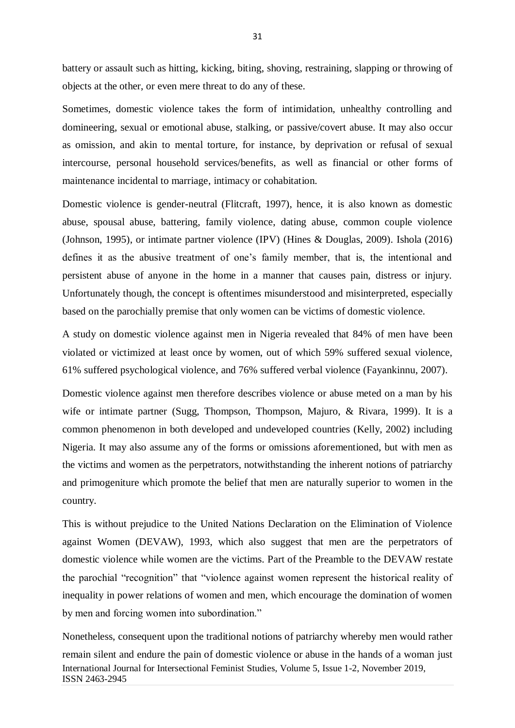battery or assault such as hitting, kicking, biting, shoving, restraining, slapping or throwing of objects at the other, or even mere threat to do any of these.

Sometimes, domestic violence takes the form of intimidation, unhealthy controlling and domineering, sexual or emotional abuse, stalking, or passive/covert abuse. It may also occur as omission, and akin to mental torture, for instance, by deprivation or refusal of sexual intercourse, personal household services/benefits, as well as financial or other forms of maintenance incidental to marriage, intimacy or cohabitation.

Domestic violence is gender-neutral (Flitcraft, 1997), hence, it is also known as domestic abuse, spousal abuse, battering, family violence, dating abuse, common couple violence (Johnson, 1995), or intimate partner violence (IPV) (Hines & Douglas, 2009). Ishola (2016) defines it as the abusive treatment of one's family member, that is, the intentional and persistent abuse of anyone in the home in a manner that causes pain, distress or injury. Unfortunately though, the concept is oftentimes misunderstood and misinterpreted, especially based on the parochially premise that only women can be victims of domestic violence.

A study on domestic violence against men in Nigeria revealed that 84% of men have been violated or victimized at least once by women, out of which 59% suffered sexual violence, 61% suffered psychological violence, and 76% suffered verbal violence (Fayankinnu, 2007).

Domestic violence against men therefore describes violence or abuse meted on a man by his wife or intimate partner (Sugg, Thompson, Thompson, Majuro, & Rivara, 1999). It is a common phenomenon in both developed and undeveloped countries (Kelly, 2002) including Nigeria. It may also assume any of the forms or omissions aforementioned, but with men as the victims and women as the perpetrators, notwithstanding the inherent notions of patriarchy and primogeniture which promote the belief that men are naturally superior to women in the country.

This is without prejudice to the United Nations Declaration on the Elimination of Violence against Women (DEVAW), 1993, which also suggest that men are the perpetrators of domestic violence while women are the victims. Part of the Preamble to the DEVAW restate the parochial "recognition" that "violence against women represent the historical reality of inequality in power relations of women and men, which encourage the domination of women by men and forcing women into subordination."

International Journal for Intersectional Feminist Studies, Volume 5, Issue 1-2, November 2019, ISSN 2463-2945 Nonetheless, consequent upon the traditional notions of patriarchy whereby men would rather remain silent and endure the pain of domestic violence or abuse in the hands of a woman just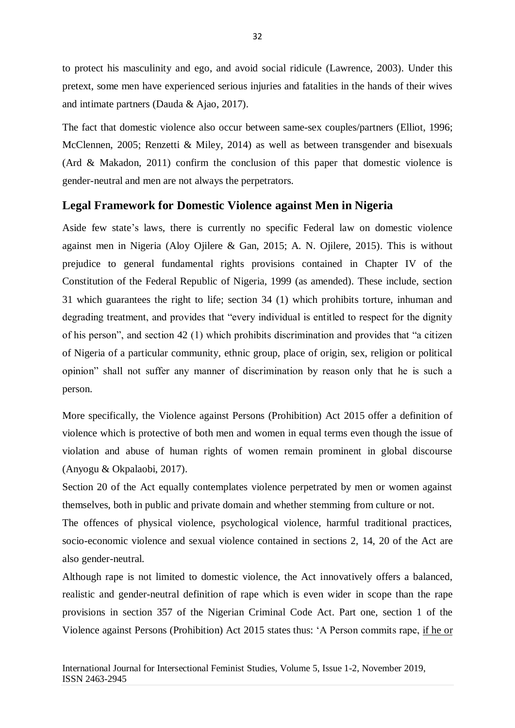to protect his masculinity and ego, and avoid social ridicule (Lawrence, 2003). Under this pretext, some men have experienced serious injuries and fatalities in the hands of their wives and intimate partners (Dauda & Ajao, 2017).

The fact that domestic violence also occur between same-sex couples/partners (Elliot, 1996; McClennen, 2005; Renzetti & Miley, 2014) as well as between transgender and bisexuals (Ard & Makadon, 2011) confirm the conclusion of this paper that domestic violence is gender-neutral and men are not always the perpetrators.

# **Legal Framework for Domestic Violence against Men in Nigeria**

Aside few state's laws, there is currently no specific Federal law on domestic violence against men in Nigeria (Aloy Ojilere & Gan, 2015; A. N. Ojilere, 2015). This is without prejudice to general fundamental rights provisions contained in Chapter IV of the Constitution of the Federal Republic of Nigeria, 1999 (as amended). These include, section 31 which guarantees the right to life; section 34 (1) which prohibits torture, inhuman and degrading treatment, and provides that "every individual is entitled to respect for the dignity of his person", and section 42 (1) which prohibits discrimination and provides that "a citizen of Nigeria of a particular community, ethnic group, place of origin, sex, religion or political opinion" shall not suffer any manner of discrimination by reason only that he is such a person.

More specifically, the Violence against Persons (Prohibition) Act 2015 offer a definition of violence which is protective of both men and women in equal terms even though the issue of violation and abuse of human rights of women remain prominent in global discourse (Anyogu & Okpalaobi, 2017).

Section 20 of the Act equally contemplates violence perpetrated by men or women against themselves, both in public and private domain and whether stemming from culture or not.

The offences of physical violence, psychological violence, harmful traditional practices, socio-economic violence and sexual violence contained in sections 2, 14, 20 of the Act are also gender-neutral.

Although rape is not limited to domestic violence, the Act innovatively offers a balanced, realistic and gender-neutral definition of rape which is even wider in scope than the rape provisions in section 357 of the Nigerian Criminal Code Act. Part one, section 1 of the Violence against Persons (Prohibition) Act 2015 states thus: 'A Person commits rape, if he or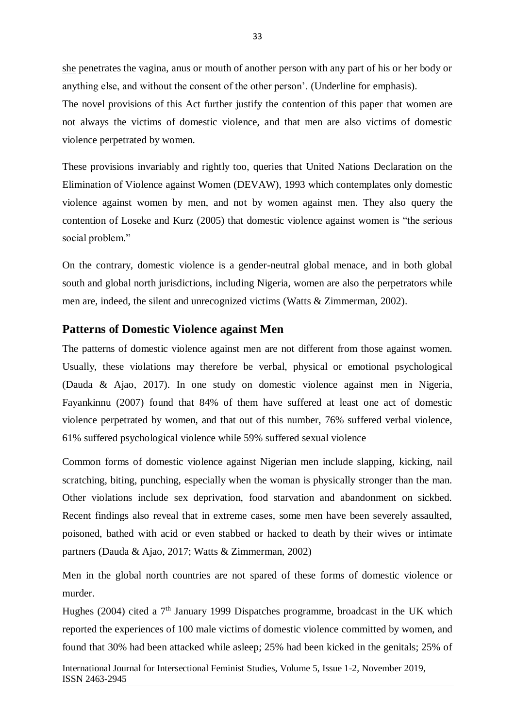she penetrates the vagina, anus or mouth of another person with any part of his or her body or anything else, and without the consent of the other person'. (Underline for emphasis).

The novel provisions of this Act further justify the contention of this paper that women are not always the victims of domestic violence, and that men are also victims of domestic violence perpetrated by women.

These provisions invariably and rightly too, queries that United Nations Declaration on the Elimination of Violence against Women (DEVAW), 1993 which contemplates only domestic violence against women by men, and not by women against men. They also query the contention of Loseke and Kurz (2005) that domestic violence against women is "the serious social problem."

On the contrary, domestic violence is a gender-neutral global menace, and in both global south and global north jurisdictions, including Nigeria, women are also the perpetrators while men are, indeed, the silent and unrecognized victims (Watts & Zimmerman, 2002).

#### **Patterns of Domestic Violence against Men**

The patterns of domestic violence against men are not different from those against women. Usually, these violations may therefore be verbal, physical or emotional psychological (Dauda & Ajao, 2017). In one study on domestic violence against men in Nigeria, Fayankinnu (2007) found that 84% of them have suffered at least one act of domestic violence perpetrated by women, and that out of this number, 76% suffered verbal violence, 61% suffered psychological violence while 59% suffered sexual violence

Common forms of domestic violence against Nigerian men include slapping, kicking, nail scratching, biting, punching, especially when the woman is physically stronger than the man. Other violations include sex deprivation, food starvation and abandonment on sickbed. Recent findings also reveal that in extreme cases, some men have been severely assaulted, poisoned, bathed with acid or even stabbed or hacked to death by their wives or intimate partners (Dauda & Ajao, 2017; Watts & Zimmerman, 2002)

Men in the global north countries are not spared of these forms of domestic violence or murder.

Hughes (2004) cited a  $7<sup>th</sup>$  January 1999 Dispatches programme, broadcast in the UK which reported the experiences of 100 male victims of domestic violence committed by women, and found that 30% had been attacked while asleep; 25% had been kicked in the genitals; 25% of

International Journal for Intersectional Feminist Studies, Volume 5, Issue 1-2, November 2019, ISSN 2463-2945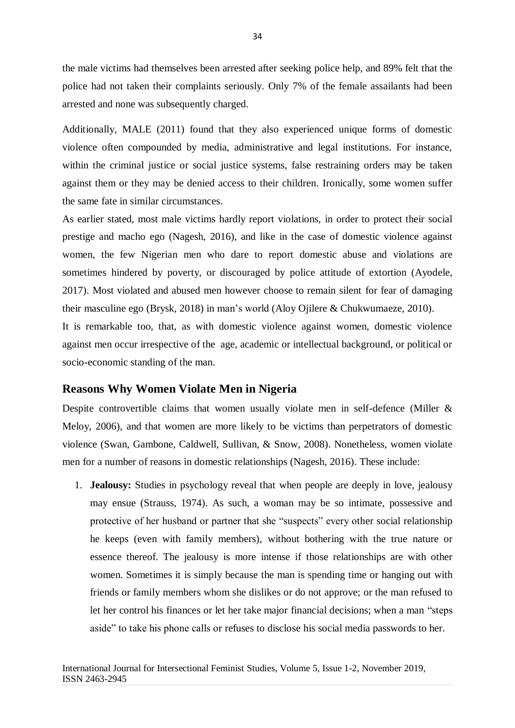the male victims had themselves been arrested after seeking police help, and 89% felt that the police had not taken their complaints seriously. Only 7% of the female assailants had been arrested and none was subsequently charged.

Additionally, MALE (2011) found that they also experienced unique forms of domestic violence often compounded by media, administrative and legal institutions. For instance, within the criminal justice or social justice systems, false restraining orders may be taken against them or they may be denied access to their children. Ironically, some women suffer the same fate in similar circumstances.

As earlier stated, most male victims hardly report violations, in order to protect their social prestige and macho ego (Nagesh, 2016), and like in the case of domestic violence against women, the few Nigerian men who dare to report domestic abuse and violations are sometimes hindered by poverty, or discouraged by police attitude of extortion (Ayodele, 2017). Most violated and abused men however choose to remain silent for fear of damaging their masculine ego (Brysk, 2018) in man's world (Aloy Ojilere & Chukwumaeze, 2010).

It is remarkable too, that, as with domestic violence against women, domestic violence against men occur irrespective of the age, academic or intellectual background, or political or socio-economic standing of the man.

#### **Reasons Why Women Violate Men in Nigeria**

Despite controvertible claims that women usually violate men in self-defence (Miller & Meloy, 2006), and that women are more likely to be victims than perpetrators of domestic violence (Swan, Gambone, Caldwell, Sullivan, & Snow, 2008). Nonetheless, women violate men for a number of reasons in domestic relationships (Nagesh, 2016). These include:

1. **Jealousy:** Studies in psychology reveal that when people are deeply in love, jealousy may ensue (Strauss, 1974). As such, a woman may be so intimate, possessive and protective of her husband or partner that she "suspects" every other social relationship he keeps (even with family members), without bothering with the true nature or essence thereof. The jealousy is more intense if those relationships are with other women. Sometimes it is simply because the man is spending time or hanging out with friends or family members whom she dislikes or do not approve; or the man refused to let her control his finances or let her take major financial decisions; when a man "steps aside" to take his phone calls or refuses to disclose his social media passwords to her.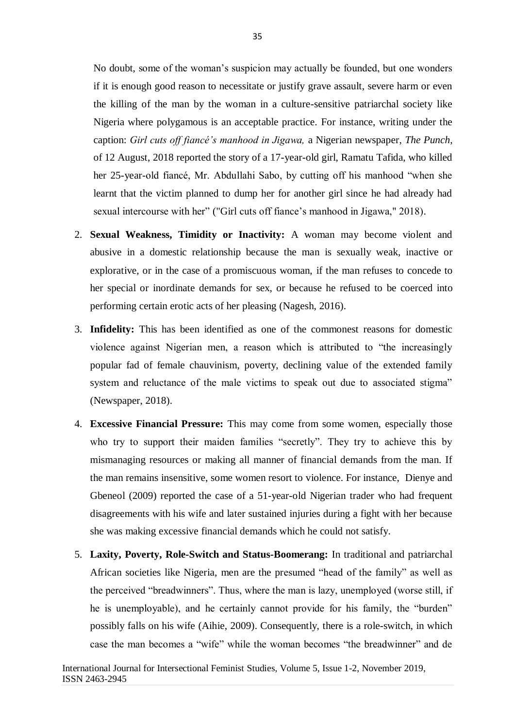No doubt, some of the woman's suspicion may actually be founded, but one wonders if it is enough good reason to necessitate or justify grave assault, severe harm or even the killing of the man by the woman in a culture-sensitive patriarchal society like Nigeria where polygamous is an acceptable practice. For instance, writing under the caption: *Girl cuts off fiancé's manhood in Jigawa,* a Nigerian newspaper, *The Punch,* of 12 August, 2018 reported the story of a 17-year-old girl, Ramatu Tafida, who killed her 25-year-old fiancé, Mr. Abdullahi Sabo, by cutting off his manhood "when she learnt that the victim planned to dump her for another girl since he had already had sexual intercourse with her" ("Girl cuts off fiance's manhood in Jigawa," 2018).

- 2. **Sexual Weakness, Timidity or Inactivity:** A woman may become violent and abusive in a domestic relationship because the man is sexually weak, inactive or explorative, or in the case of a promiscuous woman, if the man refuses to concede to her special or inordinate demands for sex, or because he refused to be coerced into performing certain erotic acts of her pleasing (Nagesh, 2016).
- 3. **Infidelity:** This has been identified as one of the commonest reasons for domestic violence against Nigerian men, a reason which is attributed to "the increasingly popular fad of female chauvinism, poverty, declining value of the extended family system and reluctance of the male victims to speak out due to associated stigma" (Newspaper, 2018).
- 4. **Excessive Financial Pressure:** This may come from some women, especially those who try to support their maiden families "secretly". They try to achieve this by mismanaging resources or making all manner of financial demands from the man. If the man remains insensitive, some women resort to violence. For instance, Dienye and Gbeneol (2009) reported the case of a 51-year-old Nigerian trader who had frequent disagreements with his wife and later sustained injuries during a fight with her because she was making excessive financial demands which he could not satisfy.
- 5. **Laxity, Poverty, Role-Switch and Status-Boomerang:** In traditional and patriarchal African societies like Nigeria, men are the presumed "head of the family" as well as the perceived "breadwinners". Thus, where the man is lazy, unemployed (worse still, if he is unemployable), and he certainly cannot provide for his family, the "burden" possibly falls on his wife (Aihie, 2009). Consequently, there is a role-switch, in which case the man becomes a "wife" while the woman becomes "the breadwinner" and de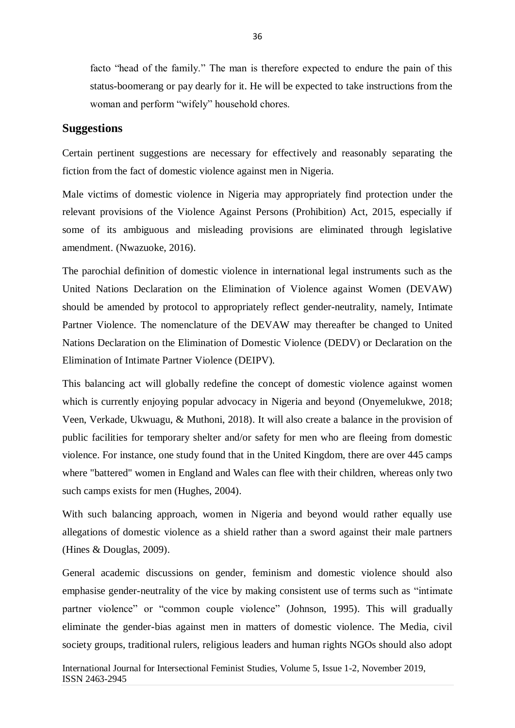facto "head of the family." The man is therefore expected to endure the pain of this status-boomerang or pay dearly for it. He will be expected to take instructions from the woman and perform "wifely" household chores.

# **Suggestions**

Certain pertinent suggestions are necessary for effectively and reasonably separating the fiction from the fact of domestic violence against men in Nigeria.

Male victims of domestic violence in Nigeria may appropriately find protection under the relevant provisions of the Violence Against Persons (Prohibition) Act, 2015, especially if some of its ambiguous and misleading provisions are eliminated through legislative amendment. (Nwazuoke, 2016).

The parochial definition of domestic violence in international legal instruments such as the United Nations Declaration on the Elimination of Violence against Women (DEVAW) should be amended by protocol to appropriately reflect gender-neutrality, namely, Intimate Partner Violence. The nomenclature of the DEVAW may thereafter be changed to United Nations Declaration on the Elimination of Domestic Violence (DEDV) or Declaration on the Elimination of Intimate Partner Violence (DEIPV).

This balancing act will globally redefine the concept of domestic violence against women which is currently enjoying popular advocacy in Nigeria and beyond (Onyemelukwe, 2018; Veen, Verkade, Ukwuagu, & Muthoni, 2018). It will also create a balance in the provision of public facilities for temporary shelter and/or safety for men who are fleeing from domestic violence. For instance, one study found that in the United Kingdom, there are over 445 camps where "battered" women in England and Wales can flee with their children, whereas only two such camps exists for men (Hughes, 2004).

With such balancing approach, women in Nigeria and beyond would rather equally use allegations of domestic violence as a shield rather than a sword against their male partners (Hines & Douglas, 2009).

General academic discussions on gender, feminism and domestic violence should also emphasise gender-neutrality of the vice by making consistent use of terms such as "intimate partner violence" or "common couple violence" (Johnson, 1995). This will gradually eliminate the gender-bias against men in matters of domestic violence. The Media, civil society groups, traditional rulers, religious leaders and human rights NGOs should also adopt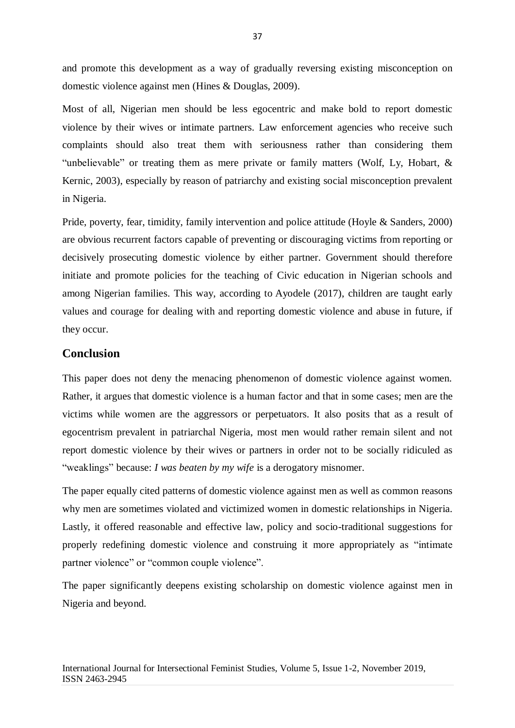and promote this development as a way of gradually reversing existing misconception on domestic violence against men (Hines & Douglas, 2009).

Most of all, Nigerian men should be less egocentric and make bold to report domestic violence by their wives or intimate partners. Law enforcement agencies who receive such complaints should also treat them with seriousness rather than considering them "unbelievable" or treating them as mere private or family matters (Wolf, Ly, Hobart, & Kernic, 2003), especially by reason of patriarchy and existing social misconception prevalent in Nigeria.

Pride, poverty, fear, timidity, family intervention and police attitude (Hoyle & Sanders, 2000) are obvious recurrent factors capable of preventing or discouraging victims from reporting or decisively prosecuting domestic violence by either partner. Government should therefore initiate and promote policies for the teaching of Civic education in Nigerian schools and among Nigerian families. This way, according to Ayodele (2017), children are taught early values and courage for dealing with and reporting domestic violence and abuse in future, if they occur.

# **Conclusion**

This paper does not deny the menacing phenomenon of domestic violence against women. Rather, it argues that domestic violence is a human factor and that in some cases; men are the victims while women are the aggressors or perpetuators. It also posits that as a result of egocentrism prevalent in patriarchal Nigeria, most men would rather remain silent and not report domestic violence by their wives or partners in order not to be socially ridiculed as "weaklings" because: *I was beaten by my wife* is a derogatory misnomer.

The paper equally cited patterns of domestic violence against men as well as common reasons why men are sometimes violated and victimized women in domestic relationships in Nigeria. Lastly, it offered reasonable and effective law, policy and socio-traditional suggestions for properly redefining domestic violence and construing it more appropriately as "intimate partner violence" or "common couple violence".

The paper significantly deepens existing scholarship on domestic violence against men in Nigeria and beyond.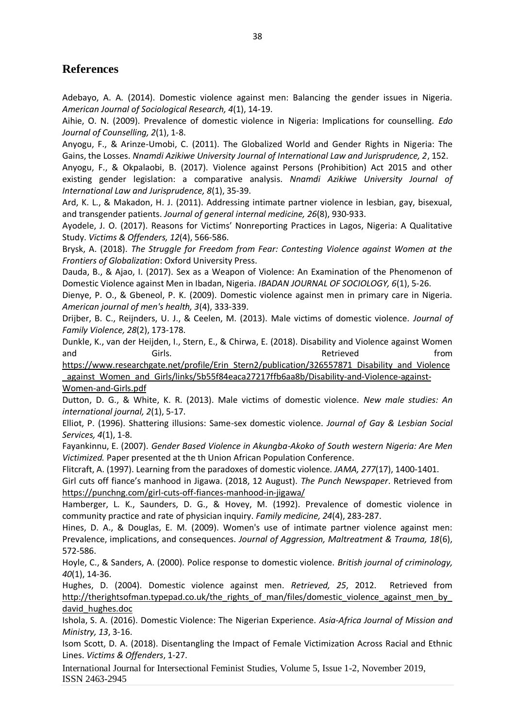# **References**

Adebayo, A. A. (2014). Domestic violence against men: Balancing the gender issues in Nigeria. *American Journal of Sociological Research, 4*(1), 14-19.

Aihie, O. N. (2009). Prevalence of domestic violence in Nigeria: Implications for counselling. *Edo Journal of Counselling, 2*(1), 1-8.

Anyogu, F., & Arinze-Umobi, C. (2011). The Globalized World and Gender Rights in Nigeria: The Gains, the Losses. *Nnamdi Azikiwe University Journal of International Law and Jurisprudence, 2*, 152.

Anyogu, F., & Okpalaobi, B. (2017). Violence against Persons (Prohibition) Act 2015 and other existing gender legislation: a comparative analysis. *Nnamdi Azikiwe University Journal of International Law and Jurisprudence, 8*(1), 35-39.

Ard, K. L., & Makadon, H. J. (2011). Addressing intimate partner violence in lesbian, gay, bisexual, and transgender patients. *Journal of general internal medicine, 26*(8), 930-933.

Ayodele, J. O. (2017). Reasons for Victims' Nonreporting Practices in Lagos, Nigeria: A Qualitative Study. *Victims & Offenders, 12*(4), 566-586.

Brysk, A. (2018). *The Struggle for Freedom from Fear: Contesting Violence against Women at the Frontiers of Globalization*: Oxford University Press.

Dauda, B., & Ajao, I. (2017). Sex as a Weapon of Violence: An Examination of the Phenomenon of Domestic Violence against Men in Ibadan, Nigeria. *IBADAN JOURNAL OF SOCIOLOGY, 6*(1), 5-26.

Dienye, P. O., & Gbeneol, P. K. (2009). Domestic violence against men in primary care in Nigeria. *American journal of men's health, 3*(4), 333-339.

Drijber, B. C., Reijnders, U. J., & Ceelen, M. (2013). Male victims of domestic violence. *Journal of Family Violence, 28*(2), 173-178.

Dunkle, K., van der Heijden, I., Stern, E., & Chirwa, E. (2018). Disability and Violence against Women and Girls. Girls. Girls. Retrieved From

[https://www.researchgate.net/profile/Erin\\_Stern2/publication/326557871\\_Disability\\_and\\_Violence](https://www.researchgate.net/profile/Erin_Stern2/publication/326557871_Disability_and_Violence_against_Women_and_Girls/links/5b55f84eaca27217ffb6aa8b/Disability-and-Violence-against-Women-and-Girls.pdf) [\\_against\\_Women\\_and\\_Girls/links/5b55f84eaca27217ffb6aa8b/Disability-and-Violence-against-](https://www.researchgate.net/profile/Erin_Stern2/publication/326557871_Disability_and_Violence_against_Women_and_Girls/links/5b55f84eaca27217ffb6aa8b/Disability-and-Violence-against-Women-and-Girls.pdf)[Women-and-Girls.pdf](https://www.researchgate.net/profile/Erin_Stern2/publication/326557871_Disability_and_Violence_against_Women_and_Girls/links/5b55f84eaca27217ffb6aa8b/Disability-and-Violence-against-Women-and-Girls.pdf)

Dutton, D. G., & White, K. R. (2013). Male victims of domestic violence. *New male studies: An international journal, 2*(1), 5-17.

Elliot, P. (1996). Shattering illusions: Same-sex domestic violence. *Journal of Gay & Lesbian Social Services, 4*(1), 1-8.

Fayankinnu, E. (2007). *Gender Based Violence in Akungba-Akoko of South western Nigeria: Are Men Victimized.* Paper presented at the th Union African Population Conference.

Flitcraft, A. (1997). Learning from the paradoxes of domestic violence. *JAMA, 277*(17), 1400-1401.

Girl cuts off fiance's manhood in Jigawa. (2018, 12 August). *The Punch Newspaper*. Retrieved from <https://punchng.com/girl-cuts-off-fiances-manhood-in-jigawa/>

Hamberger, L. K., Saunders, D. G., & Hovey, M. (1992). Prevalence of domestic violence in community practice and rate of physician inquiry. *Family medicine, 24*(4), 283-287.

Hines, D. A., & Douglas, E. M. (2009). Women's use of intimate partner violence against men: Prevalence, implications, and consequences. *Journal of Aggression, Maltreatment & Trauma, 18*(6), 572-586.

Hoyle, C., & Sanders, A. (2000). Police response to domestic violence. *British journal of criminology, 40*(1), 14-36.

Hughes, D. (2004). Domestic violence against men. *Retrieved, 25*, 2012. Retrieved from http://therightsofman.typepad.co.uk/the\_rights\_of\_man/files/domestic\_violence\_against\_men\_by david hughes.doc

Ishola, S. A. (2016). Domestic Violence: The Nigerian Experience. *Asia-Africa Journal of Mission and Ministry, 13*, 3-16.

Isom Scott, D. A. (2018). Disentangling the Impact of Female Victimization Across Racial and Ethnic Lines. *Victims & Offenders*, 1-27.

International Journal for Intersectional Feminist Studies, Volume 5, Issue 1-2, November 2019, ISSN 2463-2945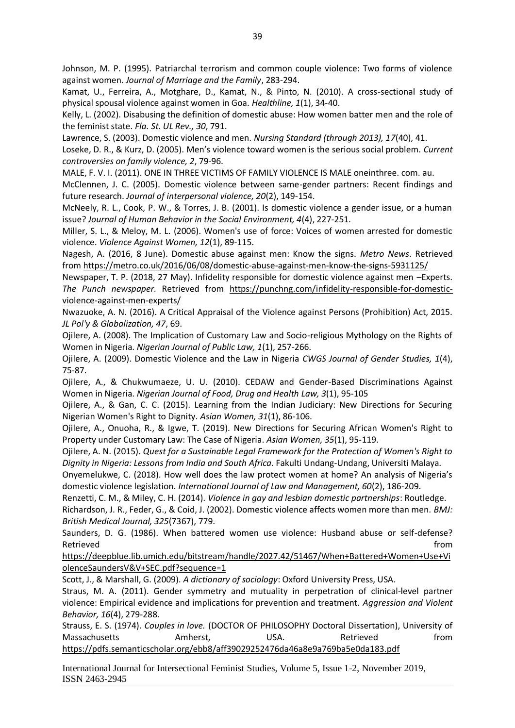Johnson, M. P. (1995). Patriarchal terrorism and common couple violence: Two forms of violence against women. *Journal of Marriage and the Family*, 283-294.

Kamat, U., Ferreira, A., Motghare, D., Kamat, N., & Pinto, N. (2010). A cross-sectional study of physical spousal violence against women in Goa. *Healthline, 1*(1), 34-40.

Kelly, L. (2002). Disabusing the definition of domestic abuse: How women batter men and the role of the feminist state. *Fla. St. UL Rev., 30*, 791.

Lawrence, S. (2003). Domestic violence and men. *Nursing Standard (through 2013), 17*(40), 41.

Loseke, D. R., & Kurz, D. (2005). Men's violence toward women is the serious social problem. *Current controversies on family violence, 2*, 79-96.

MALE, F. V. I. (2011). ONE IN THREE VICTIMS OF FAMILY VIOLENCE IS MALE oneinthree. com. au.

McClennen, J. C. (2005). Domestic violence between same-gender partners: Recent findings and future research. *Journal of interpersonal violence, 20*(2), 149-154.

McNeely, R. L., Cook, P. W., & Torres, J. B. (2001). Is domestic violence a gender issue, or a human issue? *Journal of Human Behavior in the Social Environment, 4*(4), 227-251.

Miller, S. L., & Meloy, M. L. (2006). Women's use of force: Voices of women arrested for domestic violence. *Violence Against Women, 12*(1), 89-115.

Nagesh, A. (2016, 8 June). Domestic abuse against men: Know the signs. *Metro News*. Retrieved from<https://metro.co.uk/2016/06/08/domestic-abuse-against-men-know-the-signs-5931125/>

Newspaper, T. P. (2018, 27 May). Infidelity responsible for domestic violence against men –Experts. *The Punch newspaper*. Retrieved from [https://punchng.com/infidelity-responsible-for-domestic](https://punchng.com/infidelity-responsible-for-domestic-violence-against-men-experts/)[violence-against-men-experts/](https://punchng.com/infidelity-responsible-for-domestic-violence-against-men-experts/)

Nwazuoke, A. N. (2016). A Critical Appraisal of the Violence against Persons (Prohibition) Act, 2015. *JL Pol'y & Globalization, 47*, 69.

Ojilere, A. (2008). The Implication of Customary Law and Socio-religious Mythology on the Rights of Women in Nigeria. *Nigerian Journal of Public Law, 1*(1), 257-266.

Ojilere, A. (2009). Domestic Violence and the Law in Nigeria *CWGS Journal of Gender Studies, 1*(4), 75-87.

Ojilere, A., & Chukwumaeze, U. U. (2010). CEDAW and Gender-Based Discriminations Against Women in Nigeria. *Nigerian Journal of Food, Drug and Health Law, 3*(1), 95-105

Ojilere, A., & Gan, C. C. (2015). Learning from the Indian Judiciary: New Directions for Securing Nigerian Women's Right to Dignity. *Asian Women, 31*(1), 86-106.

Ojilere, A., Onuoha, R., & Igwe, T. (2019). New Directions for Securing African Women's Right to Property under Customary Law: The Case of Nigeria. *Asian Women, 35*(1), 95-119.

Ojilere, A. N. (2015). *Quest for a Sustainable Legal Framework for the Protection of Women's Right to Dignity in Nigeria: Lessons from India and South Africa.* Fakulti Undang-Undang, Universiti Malaya.

Onyemelukwe, C. (2018). How well does the law protect women at home? An analysis of Nigeria's domestic violence legislation. *International Journal of Law and Management, 60*(2), 186-209.

Renzetti, C. M., & Miley, C. H. (2014). *Violence in gay and lesbian domestic partnerships*: Routledge.

Richardson, J. R., Feder, G., & Coid, J. (2002). Domestic violence affects women more than men. *BMJ: British Medical Journal, 325*(7367), 779.

Saunders, D. G. (1986). When battered women use violence: Husband abuse or self-defense? Retrieved **from** 

[https://deepblue.lib.umich.edu/bitstream/handle/2027.42/51467/When+Battered+Women+Use+Vi](https://deepblue.lib.umich.edu/bitstream/handle/2027.42/51467/When+Battered+Women+Use+ViolenceSaundersV&V+SEC.pdf?sequence=1) [olenceSaundersV&V+SEC.pdf?sequence=1](https://deepblue.lib.umich.edu/bitstream/handle/2027.42/51467/When+Battered+Women+Use+ViolenceSaundersV&V+SEC.pdf?sequence=1)

Scott, J., & Marshall, G. (2009). *A dictionary of sociology*: Oxford University Press, USA.

Straus, M. A. (2011). Gender symmetry and mutuality in perpetration of clinical-level partner violence: Empirical evidence and implications for prevention and treatment. *Aggression and Violent Behavior, 16*(4), 279-288.

Strauss, E. S. (1974). *Couples in love.* (DOCTOR OF PHILOSOPHY Doctoral Dissertation), University of Massachusetts **Amherst, Massachusetts** Amherst, COSA. Retrieved from <https://pdfs.semanticscholar.org/ebb8/aff39029252476da46a8e9a769ba5e0da183.pdf>

International Journal for Intersectional Feminist Studies, Volume 5, Issue 1-2, November 2019, ISSN 2463-2945